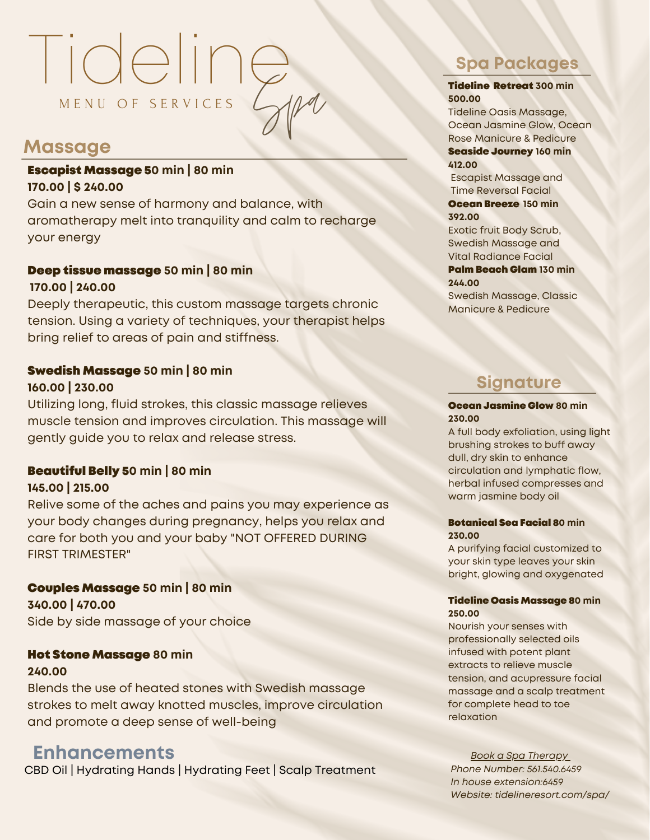# Tideline M E N U O F S E R V I C E S Spa

## **Massage**

### Escapist Massage 5**0 min | 80 min 170.00 | \$ 240.00**

Gain a new sense of harmony and balance, with aromatherapy melt into tranquility and calm to recharge your energy

### Deep tissue massage **50 min | 80 min 170.00 | 240.00**

Deeply therapeutic, this custom massage targets chronic tension. Using a variety of techniques, your therapist helps bring relief to areas of pain and stiffness.

### Swedish Massage **50 min | 80 min**

### **160.00 | 230.00**

Utilizing long, fluid strokes, this classic massage relieves muscle tension and improves circulation. This massage will gently guide you to relax and release stress.

### Beautiful Belly 5**0 min | 80 min**

### **145.00 | 215.00**

Relive some of the aches and pains you may experience as your body changes during pregnancy, helps you relax and care for both you and your baby "NOT OFFERED DURING FIRST TRIMESTER"

### Couples Massage **50 min | 80 min**

**340.00 | 470.00** Side by side massage of your choice

### Hot Stone Massage **80 min**

### **240.00**

Blends the use of heated stones with Swedish massage strokes to melt away knotted muscles, improve circulation and promote a deep sense of well-being

## **Enhancements**

CBD Oil | Hydrating Hands | Hydrating Feet | Scalp Treatment

## **Spa Packages**

#### Tideline Retreat **300 min 500.00**

Tideline Oasis Massage, Ocean Jasmine Glow, Ocean Rose Manicure & Pedicure Seaside Journey **160 min**

**412.00**

Escapist Massage and Time Reversal Facial Ocean Breeze **150 min**

### **392.00**

Exotic fruit Body Scrub, Swedish Massage and Vital Radiance Facial

### Palm Beach Glam **130 min**

**244.00**

Swedish Massage, Classic Manicure & Pedicure

## **Signature**

### Ocean Jasmine Glow **80 min 230.00**

A full body exfoliation, using light brushing strokes to buff away dull, dry skin to enhance circulation and lymphatic flow, herbal infused compresses and warm jasmine body oil

#### Botanical Sea Facial 8**0 min 230.00**

A purifying facial customized to your skin type leaves your skin bright, glowing and oxygenated

### Tideline Oasis Massage 8**0 min 250.00**

Nourish your senses with professionally selected oils infused with potent plant extracts to relieve muscle tension, and acupressure facial massage and a scalp treatment for complete head to toe relaxation

*Book a Spa Therapy Phone Number: 561.540.6459 In house extension:6459 Website: tidelineresort.com/spa/*